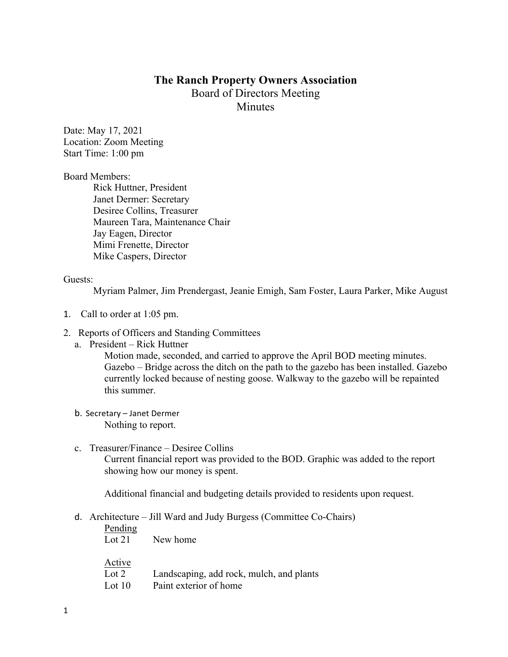# **The Ranch Property Owners Association** Board of Directors Meeting **Minutes**

Date: May 17, 2021 Location: Zoom Meeting Start Time: 1:00 pm

Board Members:

Rick Huttner, President Janet Dermer: Secretary Desiree Collins, Treasurer Maureen Tara, Maintenance Chair Jay Eagen, Director Mimi Frenette, Director Mike Caspers, Director

### Guests:

Myriam Palmer, Jim Prendergast, Jeanie Emigh, Sam Foster, Laura Parker, Mike August

- 1. Call to order at 1:05 pm.
- 2. Reports of Officers and Standing Committees
	- a. President Rick Huttner

Motion made, seconded, and carried to approve the April BOD meeting minutes. Gazebo – Bridge across the ditch on the path to the gazebo has been installed. Gazebo currently locked because of nesting goose. Walkway to the gazebo will be repainted this summer.

- b. Secretary Janet Dermer Nothing to report.
- c. Treasurer/Finance Desiree Collins

Current financial report was provided to the BOD. Graphic was added to the report showing how our money is spent.

Additional financial and budgeting details provided to residents upon request.

d. Architecture – Jill Ward and Judy Burgess (Committee Co-Chairs)

| Pending<br>Lot $21$ | New home                                 |
|---------------------|------------------------------------------|
| Active<br>Lot $2$   | Landscaping, add rock, mulch, and plants |
| Lot $10$            | Paint exterior of home                   |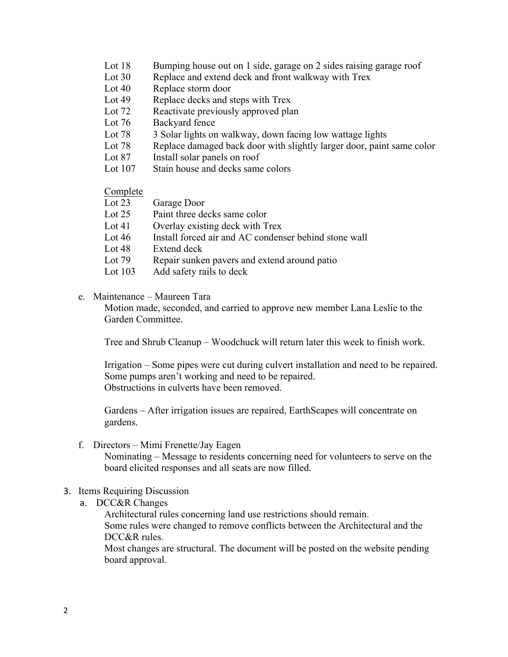- Lot 18 Bumping house out on 1 side, garage on 2 sides raising garage roof
- Lot 30 Replace and extend deck and front walkway with Trex
- Lot 40 Replace storm door
- Lot 49 Replace decks and steps with Trex
- Lot 72 Reactivate previously approved plan
- Lot 76 Backyard fence
- Lot 78 3 Solar lights on walkway, down facing low wattage lights
- Lot 78 Replace damaged back door with slightly larger door, paint same color
- Lot 87 Install solar panels on roof
- Lot 107 Stain house and decks same colors

#### Complete

| $\sim$ $\sim$ $\sim$ $\sim$ |                                                       |
|-----------------------------|-------------------------------------------------------|
| Lot $23$                    | Garage Door                                           |
| Lot $25$                    | Paint three decks same color                          |
| Lot $41$                    | Overlay existing deck with Trex                       |
| Lot $46$                    | Install forced air and AC condenser behind stone wall |
| Lot $48$                    | Extend deck                                           |
| Lot $79$                    | Repair sunken pavers and extend around patio          |
| Lot $103$                   | Add safety rails to deck                              |
|                             |                                                       |

#### e. Maintenance – Maureen Tara

Motion made, seconded, and carried to approve new member Lana Leslie to the Garden Committee.

Tree and Shrub Cleanup – Woodchuck will return later this week to finish work.

Irrigation – Some pipes were cut during culvert installation and need to be repaired. Some pumps aren't working and need to be repaired. Obstructions in culverts have been removed.

Gardens – After irrigation issues are repaired, EarthScapes will concentrate on gardens.

f. Directors – Mimi Frenette/Jay Eagen Nominating – Message to residents concerning need for volunteers to serve on the board elicited responses and all seats are now filled.

#### 3. Items Requiring Discussion

a. DCC&R Changes

Architectural rules concerning land use restrictions should remain. Some rules were changed to remove conflicts between the Architectural and the DCC&R rules.

Most changes are structural. The document will be posted on the website pending board approval.